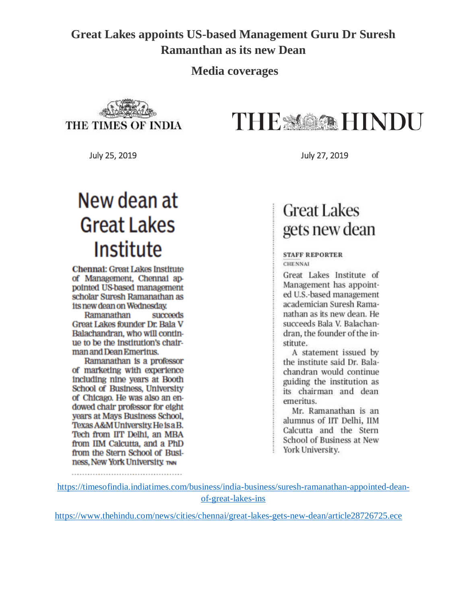### **Great Lakes appoints US-based Management Guru Dr Suresh Ramanthan as its new Dean**

#### **Media coverages**





### New dean at **Great Lakes** Institute

**Chennai: Great Lakes Institute** of Management, Chennai appointed US-based management scholar Suresh Ramanathan as its new dean on Wednesday.

Ramanathan succeeds Great Lakes founder Dr. Bala V Balachandran, who will continue to be the institution's chairman and Dean Emeritus.

Ramanathan is a professor of marketing with experience including nine years at Booth School of Business, University of Chicago. He was also an endowed chair professor for eight years at Mays Business School. Texas A&M University. He is a B. Tech from IIT Delhi, an MBA from IIM Calcutta, and a PhD from the Stern School of Busi**ness, New York University TNN** 

July 25, 2019 July 27, 2019

### **Great Lakes** gets new dean

**STAFF REPORTER CHENNAI** 

Great Lakes Institute of Management has appointed U.S.-based management academician Suresh Ramanathan as its new dean. He succeeds Bala V. Balachandran, the founder of the institute.

A statement issued by the institute said Dr. Balachandran would continue guiding the institution as its chairman and dean emeritus.

Mr. Ramanathan is an alumnus of IIT Delhi, IIM Calcutta and the Stern School of Business at New York University.

[https://timesofindia.indiatimes.com/business/india-business/suresh-ramanathan-appointed-dean](https://timesofindia.indiatimes.com/business/india-business/suresh-ramanathan-appointed-dean-of-great-lakes-ins)[of-great-lakes-ins](https://timesofindia.indiatimes.com/business/india-business/suresh-ramanathan-appointed-dean-of-great-lakes-ins)

<https://www.thehindu.com/news/cities/chennai/great-lakes-gets-new-dean/article28726725.ece>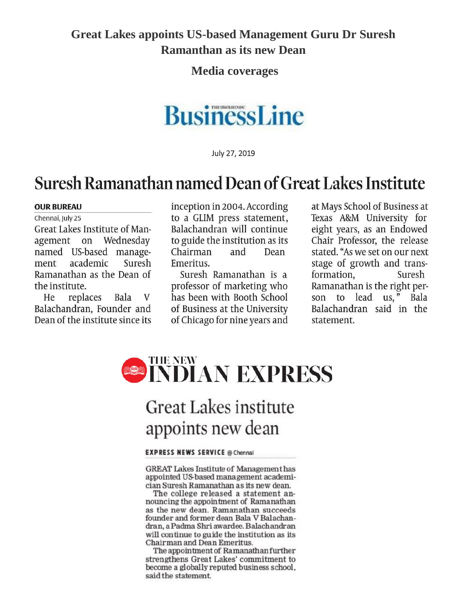### **Great Lakes appoints US-based Management Guru Dr Suresh Ramanthan as its new Dean**

**Media coverages** 

## **BusinessLine**

July 27, 2019

### Suresh Ramanathan named Dean of Great Lakes Institute

#### **OUR BUREAU**

Chennai, July 25 Great Lakes Institute of Management on Wednesday named US-based management academic Suresh Ramanathan as the Dean of the institute.

He replaces Bala V Balachandran, Founder and Dean of the institute since its inception in 2004. According to a GLIM press statement, Balachandran will continue to guide the institution as its Chairman and Dean Emeritus.

Suresh Ramanathan is a professor of marketing who has been with Booth School of Business at the University of Chicago for nine years and at Mays School of Business at Texas A&M University for eight years, as an Endowed Chair Professor, the release stated. "As we set on our next stage of growth and transformation, Suresh Ramanathan is the right person to lead us," Bala Balachandran said in the statement.



### **Great Lakes institute** appoints new dean

#### **EXPRESS NEWS SERVICE @ Chennai**

**GREAT Lakes Institute of Management has** appointed US-based management academician Suresh Ramanathan as its new dean.

The college released a statement announcing the appointment of Ramanathan as the new dean. Ramanathan succeeds founder and former dean Bala V Balachandran, a Padma Shri awardee. Balachandran will continue to guide the institution as its Chairman and Dean Emeritus.

The appointment of Ramanathan further strengthens Great Lakes' commitment to become a globally reputed business school, said the statement.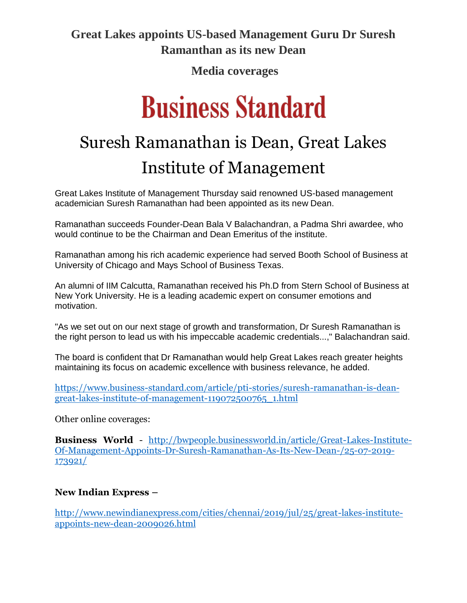**Great Lakes appoints US-based Management Guru Dr Suresh Ramanthan as its new Dean**

**Media coverages** 

# **Business Standard**

### Suresh Ramanathan is Dean, Great Lakes Institute of Management

Great Lakes Institute of Management Thursday said renowned US-based management academician Suresh Ramanathan had been appointed as its new Dean.

Ramanathan succeeds Founder-Dean Bala V Balachandran, a Padma Shri awardee, who would continue to be the Chairman and Dean Emeritus of the institute.

Ramanathan among his rich academic experience had served Booth School of Business at University of Chicago and Mays School of Business Texas.

An alumni of IIM Calcutta, Ramanathan received his Ph.D from Stern School of Business at New York University. He is a leading academic expert on consumer emotions and motivation.

"As we set out on our next stage of growth and transformation, Dr Suresh Ramanathan is the right person to lead us with his impeccable academic credentials...," Balachandran said.

The board is confident that Dr Ramanathan would help Great Lakes reach greater heights maintaining its focus on academic excellence with business relevance, he added.

[https://www.business-standard.com/article/pti-stories/suresh-ramanathan-is-dean](https://www.business-standard.com/article/pti-stories/suresh-ramanathan-is-dean-great-lakes-institute-of-management-119072500765_1.html)[great-lakes-institute-of-management-119072500765\\_1.html](https://www.business-standard.com/article/pti-stories/suresh-ramanathan-is-dean-great-lakes-institute-of-management-119072500765_1.html)

Other online coverages:

**Business World** - [http://bwpeople.businessworld.in/article/Great-Lakes-Institute-](http://bwpeople.businessworld.in/article/Great-Lakes-Institute-Of-Management-Appoints-Dr-Suresh-Ramanathan-As-Its-New-Dean-/25-07-2019-173921/)[Of-Management-Appoints-Dr-Suresh-Ramanathan-As-Its-New-Dean-/25-07-2019-](http://bwpeople.businessworld.in/article/Great-Lakes-Institute-Of-Management-Appoints-Dr-Suresh-Ramanathan-As-Its-New-Dean-/25-07-2019-173921/) [173921/](http://bwpeople.businessworld.in/article/Great-Lakes-Institute-Of-Management-Appoints-Dr-Suresh-Ramanathan-As-Its-New-Dean-/25-07-2019-173921/)

#### **New Indian Express –**

[http://www.newindianexpress.com/cities/chennai/2019/jul/25/great-lakes-institute](http://www.newindianexpress.com/cities/chennai/2019/jul/25/great-lakes-institute-appoints-new-dean-2009026.html)[appoints-new-dean-2009026.html](http://www.newindianexpress.com/cities/chennai/2019/jul/25/great-lakes-institute-appoints-new-dean-2009026.html)